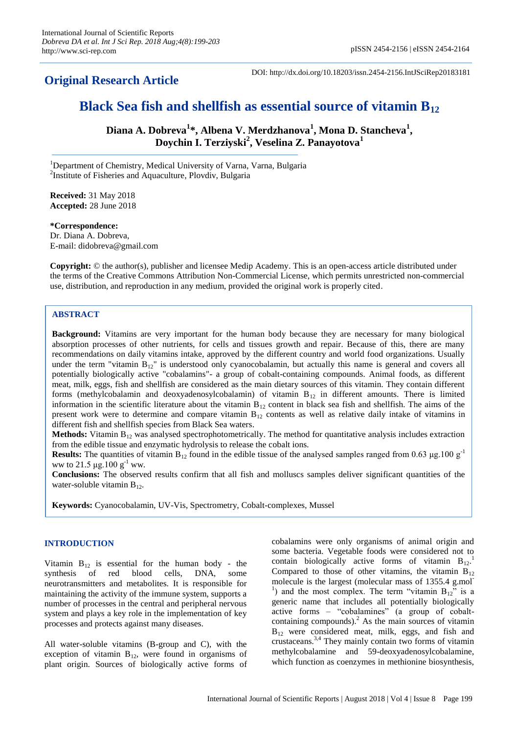# **Original Research Article**

DOI: http://dx.doi.org/10.18203/issn.2454-2156.IntJSciRep20183181

# **Black Sea fish and shellfish as essential source of vitamin B<sup>12</sup>**

**Diana A. Dobreva<sup>1</sup> \*, Albena V. Merdzhanova<sup>1</sup> , Mona D. Stancheva<sup>1</sup> , Doychin I. Terziyski<sup>2</sup> , Veselina Z. Panayotova<sup>1</sup>**

<sup>1</sup>Department of Chemistry, Medical University of Varna, Varna, Bulgaria <sup>2</sup>Institute of Fisheries and Aquaculture, Plovdiv, Bulgaria

**Received:** 31 May 2018 **Accepted:** 28 June 2018

**\*Correspondence:**

Dr. Diana A. Dobreva, E-mail: didobreva@gmail.com

**Copyright:** © the author(s), publisher and licensee Medip Academy. This is an open-access article distributed under the terms of the Creative Commons Attribution Non-Commercial License, which permits unrestricted non-commercial use, distribution, and reproduction in any medium, provided the original work is properly cited.

## **ABSTRACT**

**Background:** Vitamins are very important for the human body because they are necessary for many biological absorption processes of other nutrients, for cells and tissues growth and repair. Because of this, there are many recommendations on daily vitamins intake, approved by the different country and world food organizations. Usually under the term "vitamin  $B_{12}$ " is understood only cyanocobalamin, but actually this name is general and covers all potentially biologically active "cobalamins"- a group of cobalt-containing compounds. Animal foods, as different meat, milk, eggs, fish and shellfish are considered as the main dietary sources of this vitamin. They contain different forms (methylcobalamin and deoxyadenosylcobalamin) of vitamin  $B_{12}$  in different amounts. There is limited information in the scientific literature about the vitamin  $B_{12}$  content in black sea fish and shellfish. The aims of the present work were to determine and compare vitamin  $B_{12}$  contents as well as relative daily intake of vitamins in different fish and shellfish species from Black Sea waters.

**Methods:** Vitamin  $B_{12}$  was analysed spectrophotometrically. The method for quantitative analysis includes extraction from the edible tissue and enzymatic hydrolysis to release the cobalt ions.

**Results:** The quantities of vitamin  $B_{12}$  found in the edible tissue of the analysed samples ranged from 0.63 μg.100 g<sup>-1</sup> ww to 21.5  $\mu$ g. 100 g<sup>-1</sup> ww.

**Conclusions:** The observed results confirm that all fish and molluscs samples deliver significant quantities of the water-soluble vitamin  $B_{12}$ .

**Keywords:** Cyanocobalamin, UV-Vis, Spectrometry, Cobalt-complexes, Mussel

## **INTRODUCTION**

Vitamin  $B_{12}$  is essential for the human body - the synthesis of red blood cells, DNA, some neurotransmitters and metabolites. It is responsible for maintaining the activity of the immune system, supports a number of processes in the central and peripheral nervous system and plays a key role in the implementation of key processes and protects against many diseases.

All water-soluble vitamins (B-group and C), with the exception of vitamin  $B_{12}$ , were found in organisms of plant origin. Sources of biologically active forms of cobalamins were only organisms of animal origin and some bacteria. Vegetable foods were considered not to contain biologically active forms of vitamin  $B_{12}$ . Compared to those of other vitamins, the vitamin  $B_{12}$ molecule is the largest (molecular mass of 1355.4 g.mol-<sup>1</sup>) and the most complex. The term "vitamin  $B_{12}$ " is a generic name that includes all potentially biologically active forms – "cobalamines" (a group of cobaltcontaining compounds). $^{2}$  As the main sources of vitamin  $B_{12}$  were considered meat, milk, eggs, and fish and crustaceans.3,4 They mainly contain two forms of vitamin methylcobalamine and 59-deoxyadenosylcobalamine, which function as coenzymes in methionine biosynthesis,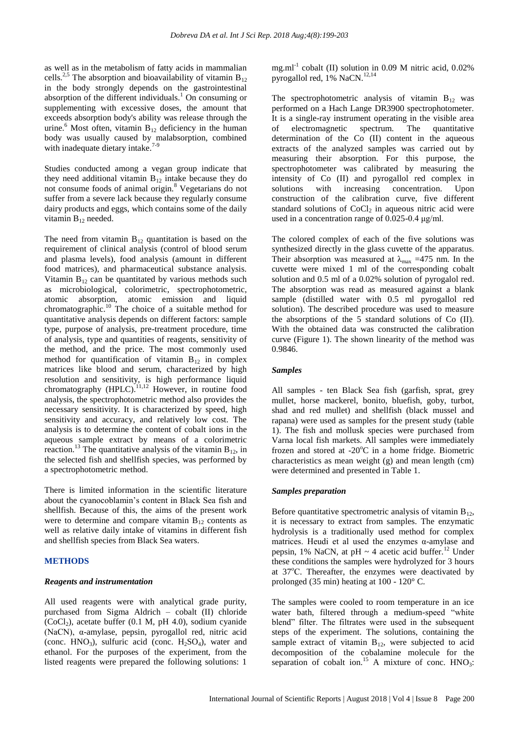as well as in the metabolism of fatty acids in mammalian cells.<sup>2,5</sup> The absorption and bioavailability of vitamin  $B_{12}$ in the body strongly depends on the gastrointestinal absorption of the different individuals.<sup>1</sup> On consuming or supplementing with excessive doses, the amount that exceeds absorption body's ability was release through the urine.<sup>6</sup> Most often, vitamin  $B_{12}$  deficiency in the human body was usually caused by malabsorption, combined with inadequate dietary intake. $7-9$ 

Studies conducted among a vegan group indicate that they need additional vitamin  $B_{12}$  intake because they do not consume foods of animal origin.<sup>8</sup> Vegetarians do not suffer from a severe lack because they regularly consume dairy products and eggs, which contains some of the daily vitamin  $B_{12}$  needed.

The need from vitamin  $B_{12}$  quantitation is based on the requirement of clinical analysis (control of blood serum and plasma levels), food analysis (amount in different food matrices), and pharmaceutical substance analysis. Vitamin  $B_{12}$  can be quantitated by various methods such as microbiological, colorimetric, spectrophotometric, atomic absorption, atomic emission and liquid chromatographic.<sup>10</sup> The choice of a suitable method for quantitative analysis depends on different factors: sample type, purpose of analysis, pre-treatment procedure, time of analysis, type and quantities of reagents, sensitivity of the method, and the price. The most commonly used method for quantification of vitamin  $B_{12}$  in complex matrices like blood and serum, characterized by high resolution and sensitivity, is high performance liquid chromatography  $(HPLC)$ .<sup>11,12</sup> However, in routine food analysis, the spectrophotometric method also provides the necessary sensitivity. It is characterized by speed, high sensitivity and accuracy, and relatively low cost. The analysis is to determine the content of cobalt ions in the aqueous sample extract by means of a colorimetric reaction.<sup>13</sup> The quantitative analysis of the vitamin  $B_{12}$ , in the selected fish and shellfish species, was performed by a spectrophotometric method.

There is limited information in the scientific literature about the cyanocoblamin's content in Black Sea fish and shellfish. Because of this, the aims of the present work were to determine and compare vitamin  $B_{12}$  contents as well as relative daily intake of vitamins in different fish and shellfish species from Black Sea waters.

## **METHODS**

#### *Reagents and instrumentation*

All used reagents were with analytical grade purity, purchased from Sigma Aldrich – cobalt (II) chloride  $(CoCl<sub>2</sub>)$ , acetate buffer (0.1 M, pH 4.0), sodium cyanide (NaCN), α-amylase, pepsin, pyrogallol red, nitric acid (conc.  $HNO<sub>3</sub>$ ), sulfuric acid (conc.  $H<sub>2</sub>SO<sub>4</sub>$ ), water and ethanol. For the purposes of the experiment, from the listed reagents were prepared the following solutions: 1

mg.ml<sup>-1</sup> cobalt (II) solution in 0.09 M nitric acid, 0.02% pyrogallol red, 1% NaCN.<sup>12,14</sup>

The spectrophotometric analysis of vitamin  $B_{12}$  was performed on a Hach Lange DR3900 spectrophotometer. It is a single-ray instrument operating in the visible area of electromagnetic spectrum. The quantitative determination of the Co (II) content in the aqueous extracts of the analyzed samples was carried out by measuring their absorption. For this purpose, the spectrophotometer was calibrated by measuring the intensity of Co (II) and pyrogallol red complex in solutions with increasing concentration. Upon construction of the calibration curve, five different standard solutions of  $CoCl<sub>2</sub>$  in aqueous nitric acid were used in a concentration range of 0.025-0.4 μg/ml.

The colored complex of each of the five solutions was synthesized directly in the glass cuvette of the apparatus. Their absorption was measured at  $\lambda_{\text{max}} = 475$  nm. In the cuvette were mixed 1 ml of the corresponding cobalt solution and 0.5 ml of a 0.02% solution of pyrogalol red. The absorption was read as measured against a blank sample (distilled water with 0.5 ml pyrogallol red solution). The described procedure was used to measure the absorptions of the 5 standard solutions of Co (II). With the obtained data was constructed the calibration curve (Figure 1). The shown linearity of the method was 0.9846.

#### *Samples*

All samples - ten Black Sea fish (garfish, sprat, grey mullet, horse mackerel, bonito, bluefish, goby, turbot, shad and red mullet) and shellfish (black mussel and rapana) were used as samples for the present study (table 1). The fish and mollusk species were purchased from Varna local fish markets. All samples were immediately frozen and stored at  $-20^{\circ}$ C in a home fridge. Biometric characteristics as mean weight (g) and mean length (cm) were determined and presented in Table 1.

#### *Samples preparation*

Before quantitative spectrometric analysis of vitamin  $B_{12}$ , it is necessary to extract from samples. The enzymatic hydrolysis is a traditionally used method for complex matrices. Heudi et al used the enzymes  $\alpha$ -amylase and pepsin, 1% NaCN, at pH  $\sim$  4 acetic acid buffer.<sup>12</sup> Under these conditions the samples were hydrolyzed for 3 hours at 37<sup>о</sup>С. Thereafter, the enzymes were deactivated by prolonged (35 min) heating at 100 - 120° C.

The samples were cooled to room temperature in an ice water bath, filtered through a medium-speed "white blend" filter. The filtrates were used in the subsequent steps of the experiment. The solutions, containing the sample extract of vitamin  $B_{12}$ , were subjected to acid decomposition of the cobalamine molecule for the separation of cobalt ion.<sup>15</sup> A mixture of conc.  $HNO<sub>3</sub>$ :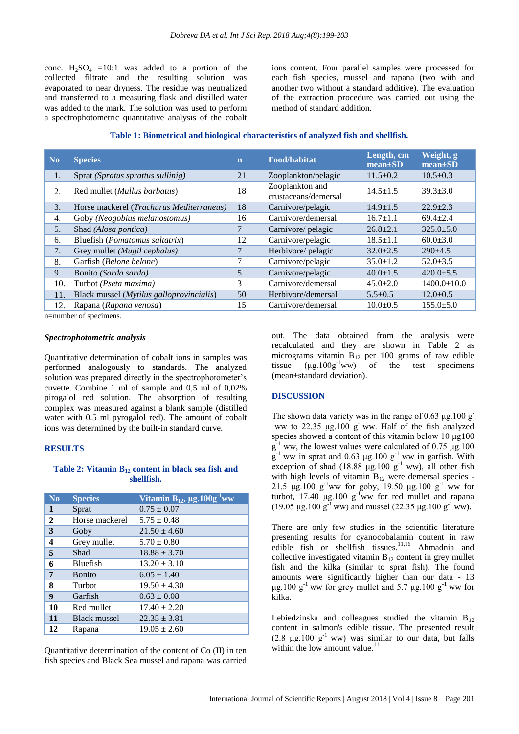conc.  $H_2SO_4 = 10:1$  was added to a portion of the collected filtrate and the resulting solution was evaporated to near dryness. The residue was neutralized and transferred to a measuring flask and distilled water was added to the mark. The solution was used to perform a spectrophotometric quantitative analysis of the cobalt ions content. Four parallel samples were processed for each fish species, mussel and rapana (two with and another two without a standard additive). The evaluation of the extraction procedure was carried out using the method of standard addition.

|  |  | Table 1: Biometrical and biological characteristics of analyzed fish and shellfish. |
|--|--|-------------------------------------------------------------------------------------|
|--|--|-------------------------------------------------------------------------------------|

| N <sub>0</sub> | <b>Species</b>                                    | $\mathbf n$ | <b>Food/habitat</b>                     | Length, cm<br>$mean \pm SD$ | Weight, g<br>$mean \pm SD$ |
|----------------|---------------------------------------------------|-------------|-----------------------------------------|-----------------------------|----------------------------|
| 1.             | Sprat (Spratus sprattus sullinig)                 | 21          | Zooplankton/pelagic                     | $11.5 \pm 0.2$              | $10.5 \pm 0.3$             |
| 2.             | Red mullet (Mullus barbatus)                      | 18          | Zooplankton and<br>crustaceans/demersal | $14.5 \pm 1.5$              | $39.3 + 3.0$               |
| 3.             | Horse mackerel (Trachurus Mediterraneus)          | 18          | Carnivore/pelagic                       | $14.9 \pm 1.5$              | $22.9 \pm 2.3$             |
| 4.             | Goby (Neogobius melanostomus)                     | 16          | Carnivore/demersal                      | $16.7 \pm 1.1$              | $69.4 \pm 2.4$             |
| 5.             | Shad (Alosa pontica)                              | 7           | Carnivore/ pelagic                      | $26.8 \pm 2.1$              | $325.0 \pm 5.0$            |
| 6.             | Bluefish (Pomatomus saltatrix)                    | 12          | Carnivore/pelagic                       | $18.5 \pm 1.1$              | $60.0 \pm 3.0$             |
| 7.             | Grey mullet (Mugil cephalus)                      |             | Herbivore/ pelagic                      | $32.0 \pm 2.5$              | $290 \pm 4.5$              |
| 8.             | Garfish (Belone belone)                           |             | Carnivore/pelagic                       | $35.0 \pm 1.2$              | $52.0 \pm 3.5$             |
| 9.             | Bonito (Sarda sarda)                              | 5           | Carnivore/pelagic                       | $40.0 \pm 1.5$              | $420.0 \pm 5.5$            |
| 10.            | Turbot (Pseta maxima)                             | 3           | Carnivore/demersal                      | $45.0 \pm 2.0$              | $1400.0 \pm 10.0$          |
| 11.            | Black mussel ( <i>Mytilus galloprovincialis</i> ) | 50          | Herbivore/demersal                      | $5.5 \pm 0.5$               | $12.0 \pm 0.5$             |
| 12.            | Rapana (Rapana venosa)                            | 15          | Carnivore/demersal                      | $10.0 \pm 0.5$              | $155.0 \pm 5.0$            |

n=number of specimens.

#### *Spectrophotometric analysis*

Quantitative determination of cobalt ions in samples was performed analogously to standards. The analyzed solution was prepared directly in the spectrophotometer's cuvette. Combine 1 ml of sample and 0,5 ml of 0,02% pirogalol red solution. The absorption of resulting complex was measured against a blank sample (distilled water with 0.5 ml pyrogalol red). The amount of cobalt ions was determined by the built-in standard curve.

#### **RESULTS**

#### **Table 2: Vitamin В<sup>12</sup> content in black sea fish and shellfish.**

| N <sub>0</sub> | <b>Species</b>      | Vitamin $B_{12}$ , µg.100g <sup>-1</sup> ww |
|----------------|---------------------|---------------------------------------------|
| 1              | Sprat               | $0.75 \pm 0.07$                             |
| $\mathbf{2}$   | Horse mackerel      | $5.75 \pm 0.48$                             |
| 3              | Goby                | $21.50 \pm 4.60$                            |
| 4              | Grey mullet         | $5.70 \pm 0.80$                             |
| 5              | Shad                | $18.88 \pm 3.70$                            |
| 6              | <b>Bluefish</b>     | $13.20 \pm 3.10$                            |
| 7              | <b>Bonito</b>       | $6.05 \pm 1.40$                             |
| 8              | Turbot              | $19.50 \pm 4.30$                            |
| 9              | Garfish             | $0.63 \pm 0.08$                             |
| 10             | Red mullet          | $17.40 \pm 2.20$                            |
| 11             | <b>Black mussel</b> | $22.35 \pm 3.81$                            |
| 12             | Rapana              | $19.05 \pm 2.60$                            |

Quantitative determination of the content of Co (II) in ten fish species and Black Sea mussel and rapana was carried out. The data obtained from the analysis were recalculated and they are shown in Table 2 as micrograms vitamin  $B_{12}$  per 100 grams of raw edible tissue  $(\mu g.100g^{-1}ww)$  of the test specimens (mean±standard deviation).

#### **DISCUSSION**

The shown data variety was in the range of 0.63 μg.100 g<sup>-</sup> <sup>1</sup>ww to 22.35 μg.100 g<sup>-1</sup>ww. Half of the fish analyzed species showed a content of this vitamin below 10 μg100  $g^{-1}$  ww, the lowest values were calculated of 0.75  $\mu$ g.100  $g^{-1}$  ww in sprat and 0.63 µg.100  $g^{-1}$  ww in garfish. With exception of shad  $(18.88 \text{ µg.}100 \text{ g}^{-1} \text{ ww})$ , all other fish with high levels of vitamin  $B_{12}$  were demersal species -21.5 μg.100 g<sup>-1</sup>ww for goby, 19.50 μg.100 g<sup>-1</sup> ww for turbot, 17.40 μg.100  $g^{-1}$ ww for red mullet and rapana (19.05  $\mu$ g.100 g<sup>-1</sup> ww) and mussel (22.35  $\mu$ g.100 g<sup>-1</sup> ww).

There are only few studies in the scientific literature presenting results for cyanocobalamin content in raw edible fish or shellfish tissues.<sup>11,16</sup> Ahmadnia and collective investigated vitamin  $B_{12}$  content in grey mullet fish and the kilka (similar to sprat fish). The found amounts were significantly higher than our data - 13 μg.100  $g^{-1}$  ww for grey mullet and 5.7 μg.100  $g^{-1}$  ww for kilka.

Lebiedzinska and colleagues studied the vitamin  $B_{12}$ content in salmon's edible tissue. The presented result (2.8 μg.100  $g^{-1}$  ww) was similar to our data, but falls within the low amount value. $^{11}$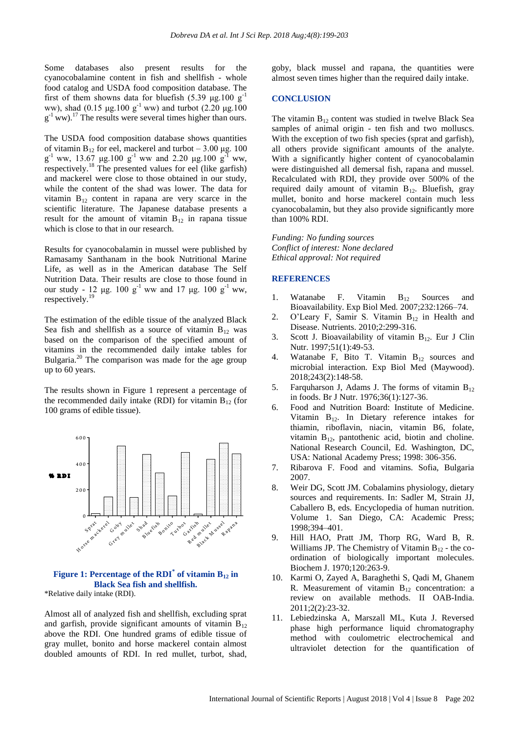Some databases also present results for the cyanocobalamine content in fish and shellfish - whole food catalog and USDA food composition database. The first of them showns data for bluefish (5.39 μg.100 g<sup>-1</sup> ww), shad (0.15  $\mu$ g.100 g<sup>-1</sup> ww) and turbot (2.20  $\mu$ g.100  $g^{-1}$  ww).<sup>17</sup> The results were several times higher than ours.

The USDA food composition database shows quantities of vitamin  $B_{12}$  for eel, mackerel and turbot – 3.00 μg. 100  $g^{-1}$  ww, 13.67 µg.100  $g^{-1}$  ww and 2.20 µg.100  $g^{-1}$  ww, respectively.<sup>18</sup> The presented values for eel (like garfish) and mackerel were close to those obtained in our study, while the content of the shad was lower. The data for vitamin  $B_{12}$  content in rapana are very scarce in the scientific literature. The Japanese database presents a result for the amount of vitamin  $B_{12}$  in rapana tissue which is close to that in our research.

Results for cyanocobalamin in mussel were published by Ramasamy Santhanam in the book Nutritional Marine Life, as well as in the American database The Self Nutrition Data. Their results are close to those found in our study - 12 μg. 100 g<sup>-1</sup> ww and 17 μg. 100 g<sup>-1</sup> ww, respectively.<sup>19</sup>

The estimation of the edible tissue of the analyzed Black Sea fish and shellfish as a source of vitamin  $B_{12}$  was based on the comparison of the specified amount of vitamins in the recommended daily intake tables for Bulgaria.<sup>20</sup> The comparison was made for the age group up to 60 years.

The results shown in Figure 1 represent a percentage of the recommended daily intake (RDI) for vitamin  $B_{12}$  (for 100 grams of edible tissue).



# **Figure 1: Percentage of the RDI\* of vitamin B<sup>12</sup> in Black Sea fish and shellfish.**

\*Relative daily intake (RDI).

Almost all of analyzed fish and shellfish, excluding sprat and garfish, provide significant amounts of vitamin  $B_{12}$ above the RDI. One hundred grams of edible tissue of gray mullet, bonito and horse mackerel contain almost doubled amounts of RDI. In red mullet, turbot, shad,

goby, black mussel and rapana, the quantities were almost seven times higher than the required daily intake.

#### **CONCLUSION**

The vitamin  $B_{12}$  content was studied in twelve Black Sea samples of animal origin - ten fish and two molluscs. With the exception of two fish species (sprat and garfish), all others provide significant amounts of the analyte. With a significantly higher content of cyanocobalamin were distinguished all demersal fish, rapana and mussel. Recalculated with RDI, they provide over 500% of the required daily amount of vitamin  $B_{12}$ . Bluefish, gray mullet, bonito and horse mackerel contain much less cyanocobalamin, but they also provide significantly more than 100% RDI.

*Funding: No funding sources Conflict of interest: None declared Ethical approval: Not required*

#### **REFERENCES**

- 1. Watanabe F. Vitamin  $B_{12}$  Sources and Bioavailability. Exp Biol Med. 2007;232:1266–74.
- 2. O'Leary F, Samir S. Vitamin  $B_{12}$  in Health and Disease. Nutrients. 2010;2:299-316.
- 3. Scott J. Bioavailability of vitamin  $B_{12}$ . Eur J Clin Nutr. 1997;51(1):49-53.
- 4. Watanabe F, Bito T. Vitamin  $B_{12}$  sources and microbial interaction. Exp Biol Med (Maywood). 2018;243(2):148-58.
- 5. Farquharson J, Adams J. The forms of vitamin  $B_{12}$ in foods. Br J Nutr. 1976;36(1):127-36.
- 6. Food and Nutrition Board: Institute of Medicine. Vitamin  $B_{12}$ . In Dietary reference intakes for thiamin, riboflavin, niacin, vitamin B6, folate, vitamin  $B_{12}$ , pantothenic acid, biotin and choline. National Research Council, Ed. Washington, DC, USA: National Academy Press; 1998: 306-356.
- 7. Ribarova F. Food and vitamins. Sofia, Bulgaria 2007.
- 8. Weir DG, Scott JM. Cobalamins physiology, dietary sources and requirements. In: Sadler M, Strain JJ, Caballero B, eds. Encyclopedia of human nutrition. Volume 1. San Diego, CA: Academic Press; 1998;394–401.
- 9. Hill HAO, Pratt JM, Thorp RG, Ward B, R. Williams JP. The Chemistry of Vitamin  $B_{12}$  - the coordination of biologically important molecules. Biochem J. 1970;120:263-9.
- 10. Karmi O, Zayed A, Baraghethi S, Qadi M, Ghanem R. Measurement of vitamin  $B_{12}$  concentration: a review on available methods. II OAB-India. 2011;2(2):23-32.
- 11. Lebiedzinska A, Marszall ML, Kuta J. Reversed phase high performance liquid chromatography method with coulometric electrochemical and ultraviolet detection for the quantification of